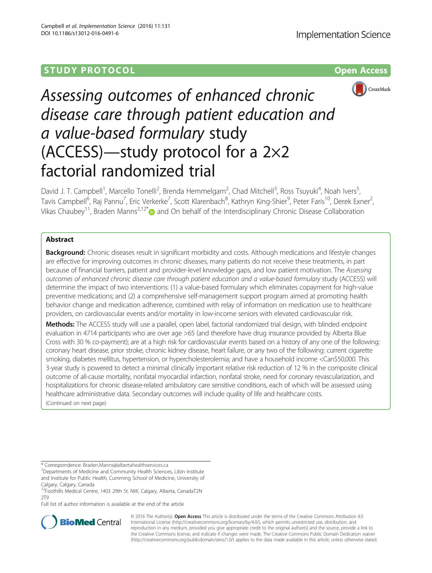# **STUDY PROTOCOL CONSUMING THE RESERVE ACCESS**



# Assessing outcomes of enhanced chronic disease care through patient education and a value-based formulary study (ACCESS)—study protocol for a 2×2 factorial randomized trial

David J. T. Campbell<sup>1</sup>, Marcello Tonelli<sup>2</sup>, Brenda Hemmelgarn<sup>2</sup>, Chad Mitchell<sup>3</sup>, Ross Tsuyuki<sup>4</sup>, Noah Ivers<sup>5</sup> , Tavis Campbell<sup>6</sup>, Raj Pannu<sup>7</sup>, Eric Verkerke<sup>7</sup>, Scott Klarenbach<sup>8</sup>, Kathryn King-Shier<sup>9</sup>, Peter Faris<sup>10</sup>, Derek Exner<sup>2</sup> , Vikas Chaubey<sup>11</sup>, Braden Manns<sup>2,12\*</sup> and On behalf of the Interdisciplinary Chronic Disease Collaboration

# Abstract

Background: Chronic diseases result in significant morbidity and costs. Although medications and lifestyle changes are effective for improving outcomes in chronic diseases, many patients do not receive these treatments, in part because of financial barriers, patient and provider-level knowledge gaps, and low patient motivation. The Assessing outcomes of enhanced chronic disease care through patient education and a value-based formulary study (ACCESS) will determine the impact of two interventions: (1) a value-based formulary which eliminates copayment for high-value preventive medications; and (2) a comprehensive self-management support program aimed at promoting health behavior change and medication adherence, combined with relay of information on medication use to healthcare providers, on cardiovascular events and/or mortality in low-income seniors with elevated cardiovascular risk.

Methods: The ACCESS study will use a parallel, open label, factorial randomized trial design, with blinded endpoint evaluation in 4714 participants who are over age >65 (and therefore have drug insurance provided by Alberta Blue Cross with 30 % co-payment); are at a high risk for cardiovascular events based on a history of any one of the following: coronary heart disease, prior stroke, chronic kidney disease, heart failure, or any two of the following: current cigarette smoking, diabetes mellitus, hypertension, or hypercholesterolemia; and have a household income <Can\$50,000. This 3-year study is powered to detect a minimal clinically important relative risk reduction of 12 % in the composite clinical outcome of all-cause mortality, nonfatal myocardial infarction, nonfatal stroke, need for coronary revascularization, and hospitalizations for chronic disease-related ambulatory care sensitive conditions, each of which will be assessed using healthcare administrative data. Secondary outcomes will include quality of life and healthcare costs. (Continued on next page)

\* Correspondence: [Braden.Manns@albertahealthservices.ca](mailto:Braden.Manns@albertahealthservices.ca) <sup>2</sup>

<sup>2</sup>Departments of Medicine and Community Health Sciences, Libin Institute and Institute for Public Health, Cumming School of Medicine, University of Calgary, Calgary, Canada

<sup>12</sup>Foothills Medical Centre, 1403 29th St. NW, Calgary, Alberta, CanadaT2N 2T9

Full list of author information is available at the end of the article



© 2016 The Author(s). Open Access This article is distributed under the terms of the Creative Commons Attribution 4.0 International License [\(http://creativecommons.org/licenses/by/4.0/](http://creativecommons.org/licenses/by/4.0/)), which permits unrestricted use, distribution, and reproduction in any medium, provided you give appropriate credit to the original author(s) and the source, provide a link to the Creative Commons license, and indicate if changes were made. The Creative Commons Public Domain Dedication waiver [\(http://creativecommons.org/publicdomain/zero/1.0/](http://creativecommons.org/publicdomain/zero/1.0/)) applies to the data made available in this article, unless otherwise stated.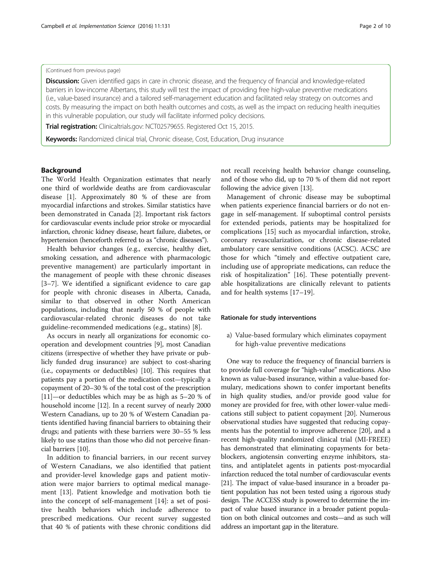# (Continued from previous page)

Discussion: Given identified gaps in care in chronic disease, and the frequency of financial and knowledge-related barriers in low-income Albertans, this study will test the impact of providing free high-value preventive medications (i.e., value-based insurance) and a tailored self-management education and facilitated relay strategy on outcomes and costs. By measuring the impact on both health outcomes and costs, as well as the impact on reducing health inequities in this vulnerable population, our study will facilitate informed policy decisions.

Trial registration: Clinicaltrials.gov: [NCT02579655](https://clinicaltrials.gov/ct2/show/NCT02579655). Registered Oct 15, 2015.

**Keywords:** Randomized clinical trial, Chronic disease, Cost, Education, Drug insurance

# Background

The World Health Organization estimates that nearly one third of worldwide deaths are from cardiovascular disease [\[1](#page-8-0)]. Approximately 80 % of these are from myocardial infarctions and strokes. Similar statistics have been demonstrated in Canada [[2\]](#page-8-0). Important risk factors for cardiovascular events include prior stroke or myocardial infarction, chronic kidney disease, heart failure, diabetes, or hypertension (henceforth referred to as "chronic diseases").

Health behavior changes (e.g., exercise, healthy diet, smoking cessation, and adherence with pharmacologic preventive management) are particularly important in the management of people with these chronic diseases [[3](#page-8-0)–[7\]](#page-8-0). We identified a significant evidence to care gap for people with chronic diseases in Alberta, Canada, similar to that observed in other North American populations, including that nearly 50 % of people with cardiovascular-related chronic diseases do not take guideline-recommended medications (e.g., statins) [\[8](#page-8-0)].

As occurs in nearly all organizations for economic cooperation and development countries [[9\]](#page-8-0), most Canadian citizens (irrespective of whether they have private or publicly funded drug insurance) are subject to cost-sharing (i.e., copayments or deductibles) [\[10\]](#page-8-0). This requires that patients pay a portion of the medication cost—typically a copayment of 20–30 % of the total cost of the prescription [[11](#page-8-0)]—or deductibles which may be as high as 5–20 % of household income [\[12\]](#page-8-0). In a recent survey of nearly 2000 Western Canadians, up to 20 % of Western Canadian patients identified having financial barriers to obtaining their drugs; and patients with these barriers were 30–55 % less likely to use statins than those who did not perceive financial barriers [\[10\]](#page-8-0).

In addition to financial barriers, in our recent survey of Western Canadians, we also identified that patient and provider-level knowledge gaps and patient motivation were major barriers to optimal medical management [[13\]](#page-8-0). Patient knowledge and motivation both tie into the concept of self-management [[14\]](#page-8-0): a set of positive health behaviors which include adherence to prescribed medications. Our recent survey suggested that 40 % of patients with these chronic conditions did not recall receiving health behavior change counseling, and of those who did, up to 70 % of them did not report following the advice given [\[13](#page-8-0)].

Management of chronic disease may be suboptimal when patients experience financial barriers or do not engage in self-management. If suboptimal control persists for extended periods, patients may be hospitalized for complications [\[15\]](#page-9-0) such as myocardial infarction, stroke, coronary revascularization, or chronic disease-related ambulatory care sensitive conditions (ACSC). ACSC are those for which "timely and effective outpatient care, including use of appropriate medications, can reduce the risk of hospitalization" [\[16\]](#page-9-0). These potentially preventable hospitalizations are clinically relevant to patients and for health systems [[17](#page-9-0)–[19\]](#page-9-0).

#### Rationale for study interventions

a) Value-based formulary which eliminates copayment for high-value preventive medications

One way to reduce the frequency of financial barriers is to provide full coverage for "high-value" medications. Also known as value-based insurance, within a value-based formulary, medications shown to confer important benefits in high quality studies, and/or provide good value for money are provided for free, with other lower-value medications still subject to patient copayment [[20\]](#page-9-0). Numerous observational studies have suggested that reducing copayments has the potential to improve adherence [\[20\]](#page-9-0), and a recent high-quality randomized clinical trial (MI-FREEE) has demonstrated that eliminating copayments for betablockers, angiotensin converting enzyme inhibitors, statins, and antiplatelet agents in patients post-myocardial infarction reduced the total number of cardiovascular events [[21\]](#page-9-0). The impact of value-based insurance in a broader patient population has not been tested using a rigorous study design. The ACCESS study is powered to determine the impact of value based insurance in a broader patient population on both clinical outcomes and costs—and as such will address an important gap in the literature.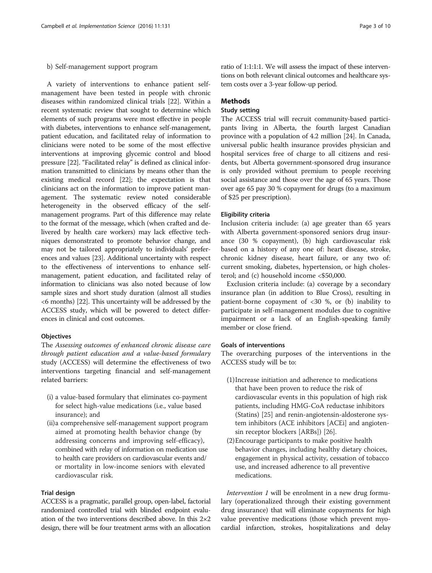# b) Self-management support program

A variety of interventions to enhance patient selfmanagement have been tested in people with chronic diseases within randomized clinical trials [[22](#page-9-0)]. Within a recent systematic review that sought to determine which elements of such programs were most effective in people with diabetes, interventions to enhance self-management, patient education, and facilitated relay of information to clinicians were noted to be some of the most effective interventions at improving glycemic control and blood pressure [\[22\]](#page-9-0). "Facilitated relay" is defined as clinical information transmitted to clinicians by means other than the existing medical record [[22\]](#page-9-0); the expectation is that clinicians act on the information to improve patient management. The systematic review noted considerable heterogeneity in the observed efficacy of the selfmanagement programs. Part of this difference may relate to the format of the message, which (when crafted and delivered by health care workers) may lack effective techniques demonstrated to promote behavior change, and may not be tailored appropriately to individuals' preferences and values [\[23\]](#page-9-0). Additional uncertainty with respect to the effectiveness of interventions to enhance selfmanagement, patient education, and facilitated relay of information to clinicians was also noted because of low sample sizes and short study duration (almost all studies <6 months) [[22](#page-9-0)]. This uncertainty will be addressed by the ACCESS study, which will be powered to detect differences in clinical and cost outcomes.

# **Objectives**

The Assessing outcomes of enhanced chronic disease care through patient education and a value-based formulary study (ACCESS) will determine the effectiveness of two interventions targeting financial and self-management related barriers:

- (i) a value-based formulary that eliminates co-payment for select high-value medications (i.e., value based insurance); and
- (ii)a comprehensive self-management support program aimed at promoting health behavior change (by addressing concerns and improving self-efficacy), combined with relay of information on medication use to health care providers on cardiovascular events and/ or mortality in low-income seniors with elevated cardiovascular risk.

# Trial design

ACCESS is a pragmatic, parallel group, open-label, factorial randomized controlled trial with blinded endpoint evaluation of the two interventions described above. In this 2×2 design, there will be four treatment arms with an allocation ratio of 1:1:1:1. We will assess the impact of these interventions on both relevant clinical outcomes and healthcare system costs over a 3-year follow-up period.

# **Methods**

# Study setting

The ACCESS trial will recruit community-based participants living in Alberta, the fourth largest Canadian province with a population of 4.2 million [[24](#page-9-0)]. In Canada, universal public health insurance provides physician and hospital services free of charge to all citizens and residents, but Alberta government-sponsored drug insurance is only provided without premium to people receiving social assistance and those over the age of 65 years. Those over age 65 pay 30 % copayment for drugs (to a maximum of \$25 per prescription).

#### Eligibility criteria

Inclusion criteria include: (a) age greater than 65 years with Alberta government-sponsored seniors drug insurance (30 % copayment), (b) high cardiovascular risk based on a history of any one of: heart disease, stroke, chronic kidney disease, heart failure, or any two of: current smoking, diabetes, hypertension, or high cholesterol; and (c) household income <\$50,000.

Exclusion criteria include: (a) coverage by a secondary insurance plan (in addition to Blue Cross), resulting in patient-borne copayment of <30 %, or (b) inability to participate in self-management modules due to cognitive impairment or a lack of an English-speaking family member or close friend.

# Goals of interventions

The overarching purposes of the interventions in the ACCESS study will be to:

- (1)Increase initiation and adherence to medications that have been proven to reduce the risk of cardiovascular events in this population of high risk patients, including HMG-CoA reductase inhibitors (Statins) [[25](#page-9-0)] and renin-angiotensin-aldosterone system inhibitors (ACE inhibitors [ACEi] and angiotensin receptor blockers [ARBs]) [\[26](#page-9-0)].
- (2)Encourage participants to make positive health behavior changes, including healthy dietary choices, engagement in physical activity, cessation of tobacco use, and increased adherence to all preventive medications.

Intervention 1 will be enrolment in a new drug formulary (operationalized through their existing government drug insurance) that will eliminate copayments for high value preventive medications (those which prevent myocardial infarction, strokes, hospitalizations and delay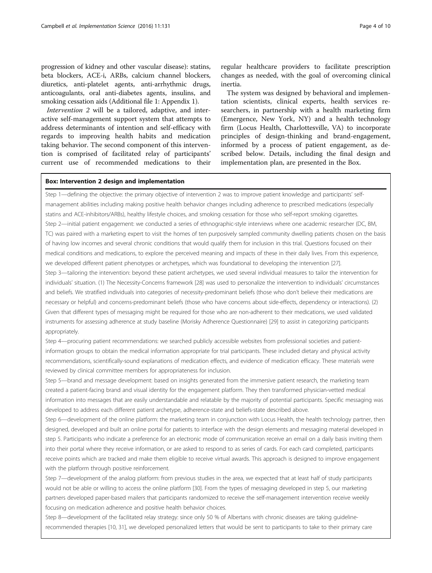progression of kidney and other vascular disease): statins, beta blockers, ACE-i, ARBs, calcium channel blockers, diuretics, anti-platelet agents, anti-arrhythmic drugs, anticoagulants, oral anti-diabetes agents, insulins, and smoking cessation aids (Additional file [1](#page-8-0): Appendix 1).

Intervention 2 will be a tailored, adaptive, and interactive self-management support system that attempts to address determinants of intention and self-efficacy with regards to improving health habits and medication taking behavior. The second component of this intervention is comprised of facilitated relay of participants' current use of recommended medications to their

regular healthcare providers to facilitate prescription changes as needed, with the goal of overcoming clinical inertia.

The system was designed by behavioral and implementation scientists, clinical experts, health services researchers, in partnership with a health marketing firm (Emergence, New York, NY) and a health technology firm (Locus Health, Charlottesville, VA) to incorporate principles of design-thinking and brand-engagement, informed by a process of patient engagement, as described below. Details, including the final design and implementation plan, are presented in the Box.

# Box: Intervention 2 design and implementation

Step 1—defining the objective: the primary objective of intervention 2 was to improve patient knowledge and participants' selfmanagement abilities including making positive health behavior changes including adherence to prescribed medications (especially statins and ACE-inhibitors/ARBs), healthy lifestyle choices, and smoking cessation for those who self-report smoking cigarettes. Step 2—initial patient engagement: we conducted a series of ethnographic-style interviews where one academic researcher (DC, BM, TC) was paired with a marketing expert to visit the homes of ten purposively sampled community dwelling patients chosen on the basis of having low incomes and several chronic conditions that would qualify them for inclusion in this trial. Questions focused on their medical conditions and medications, to explore the perceived meaning and impacts of these in their daily lives. From this experience, we developed different patient phenotypes or archetypes, which was foundational to developing the intervention [[27](#page-9-0)]. Step 3—tailoring the intervention: beyond these patient archetypes, we used several individual measures to tailor the intervention for individuals' situation. (1) The Necessity-Concerns framework [[28\]](#page-9-0) was used to personalize the intervention to individuals' circumstances and beliefs. We stratified individuals into categories of necessity-predominant beliefs (those who don't believe their medications are necessary or helpful) and concerns-predominant beliefs (those who have concerns about side-effects, dependency or interactions). (2) Given that different types of messaging might be required for those who are non-adherent to their medications, we used validated instruments for assessing adherence at study baseline (Morisky Adherence Questionnaire) [\[29\]](#page-9-0) to assist in categorizing participants appropriately.

Step 4—procuring patient recommendations: we searched publicly accessible websites from professional societies and patientinformation groups to obtain the medical information appropriate for trial participants. These included dietary and physical activity recommendations, scientifically-sound explanations of medication effects, and evidence of medication efficacy. These materials were reviewed by clinical committee members for appropriateness for inclusion.

Step 5—brand and message development: based on insights generated from the immersive patient research, the marketing team created a patient-facing brand and visual identity for the engagement platform. They then transformed physician-vetted medical information into messages that are easily understandable and relatable by the majority of potential participants. Specific messaging was developed to address each different patient archetype, adherence-state and beliefs-state described above.

Step 6—development of the online platform: the marketing team in conjunction with Locus Health, the health technology partner, then designed, developed and built an online portal for patients to interface with the design elements and messaging material developed in step 5. Participants who indicate a preference for an electronic mode of communication receive an email on a daily basis inviting them into their portal where they receive information, or are asked to respond to as series of cards. For each card completed, participants receive points which are tracked and make them eligible to receive virtual awards. This approach is designed to improve engagement with the platform through positive reinforcement.

Step 7—development of the analog platform: from previous studies in the area, we expected that at least half of study participants would not be able or willing to access the online platform [[30](#page-9-0)]. From the types of messaging developed in step 5, our marketing partners developed paper-based mailers that participants randomized to receive the self-management intervention receive weekly focusing on medication adherence and positive health behavior choices.

Step 8—development of the facilitated relay strategy: since only 50 % of Albertans with chronic diseases are taking guidelinerecommended therapies [\[10,](#page-8-0) [31\]](#page-9-0), we developed personalized letters that would be sent to participants to take to their primary care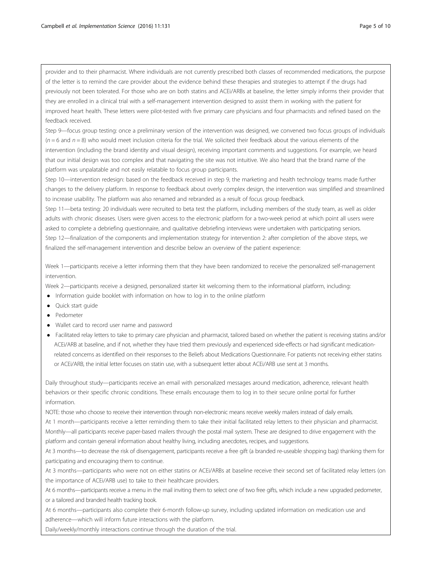provider and to their pharmacist. Where individuals are not currently prescribed both classes of recommended medications, the purpose of the letter is to remind the care provider about the evidence behind these therapies and strategies to attempt if the drugs had previously not been tolerated. For those who are on both statins and ACEi/ARBs at baseline, the letter simply informs their provider that they are enrolled in a clinical trial with a self-management intervention designed to assist them in working with the patient for improved heart health. These letters were pilot-tested with five primary care physicians and four pharmacists and refined based on the feedback received.

Step 9—focus group testing: once a preliminary version of the intervention was designed, we convened two focus groups of individuals  $(n = 6$  and  $n = 8)$  who would meet inclusion criteria for the trial. We solicited their feedback about the various elements of the intervention (including the brand identity and visual design), receiving important comments and suggestions. For example, we heard that our initial design was too complex and that navigating the site was not intuitive. We also heard that the brand name of the platform was unpalatable and not easily relatable to focus group participants.

Step 10—intervention redesign: based on the feedback received in step 9, the marketing and health technology teams made further changes to the delivery platform. In response to feedback about overly complex design, the intervention was simplified and streamlined to increase usability. The platform was also renamed and rebranded as a result of focus group feedback.

Step 11—beta testing: 20 individuals were recruited to beta test the platform, including members of the study team, as well as older adults with chronic diseases. Users were given access to the electronic platform for a two-week period at which point all users were asked to complete a debriefing questionnaire, and qualitative debriefing interviews were undertaken with participating seniors. Step 12—finalization of the components and implementation strategy for intervention 2: after completion of the above steps, we finalized the self-management intervention and describe below an overview of the patient experience:

Week 1—participants receive a letter informing them that they have been randomized to receive the personalized self-management intervention.

Week 2—participants receive a designed, personalized starter kit welcoming them to the informational platform, including:

- Information guide booklet with information on how to log in to the online platform
- Quick start quide
- Pedometer
- Wallet card to record user name and password
- Facilitated relay letters to take to primary care physician and pharmacist, tailored based on whether the patient is receiving statins and/or ACEi/ARB at baseline, and if not, whether they have tried them previously and experienced side-effects or had significant medicationrelated concerns as identified on their responses to the Beliefs about Medications Questionnaire. For patients not receiving either statins or ACEi/ARB, the initial letter focuses on statin use, with a subsequent letter about ACEi/ARB use sent at 3 months.

Daily throughout study—participants receive an email with personalized messages around medication, adherence, relevant health behaviors or their specific chronic conditions. These emails encourage them to log in to their secure online portal for further information.

NOTE: those who choose to receive their intervention through non-electronic means receive weekly mailers instead of daily emails.

At 1 month—participants receive a letter reminding them to take their initial facilitated relay letters to their physician and pharmacist. Monthly—all participants receive paper-based mailers through the postal mail system. These are designed to drive engagement with the platform and contain general information about healthy living, including anecdotes, recipes, and suggestions.

At 3 months—to decrease the risk of disengagement, participants receive a free gift (a branded re-useable shopping bag) thanking them for participating and encouraging them to continue.

At 3 months—participants who were not on either statins or ACEi/ARBs at baseline receive their second set of facilitated relay letters (on the importance of ACEi/ARB use) to take to their healthcare providers.

At 6 months—participants receive a menu in the mail inviting them to select one of two free gifts, which include a new upgraded pedometer, or a tailored and branded health tracking book.

At 6 months—participants also complete their 6-month follow-up survey, including updated information on medication use and adherence—which will inform future interactions with the platform.

Daily/weekly/monthly interactions continue through the duration of the trial.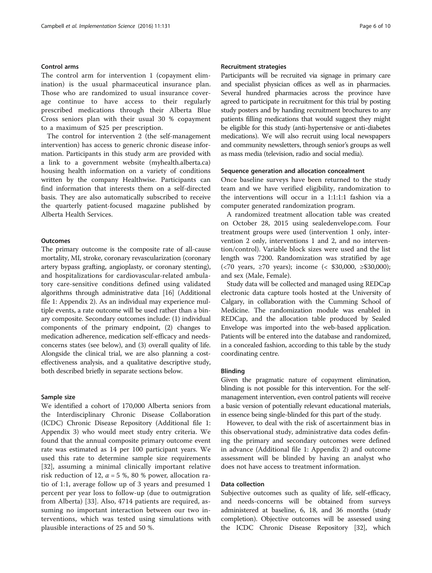# Control arms

The control arm for intervention 1 (copayment elimination) is the usual pharmaceutical insurance plan. Those who are randomized to usual insurance coverage continue to have access to their regularly prescribed medications through their Alberta Blue Cross seniors plan with their usual 30 % copayment to a maximum of \$25 per prescription.

The control for intervention 2 (the self-management intervention) has access to generic chronic disease information. Participants in this study arm are provided with a link to a government website (myhealth.alberta.ca) housing health information on a variety of conditions written by the company Healthwise. Participants can find information that interests them on a self-directed basis. They are also automatically subscribed to receive the quarterly patient-focused magazine published by Alberta Health Services.

# **Outcomes**

The primary outcome is the composite rate of all-cause mortality, MI, stroke, coronary revascularization (coronary artery bypass grafting, angioplasty, or coronary stenting), and hospitalizations for cardiovascular-related ambulatory care-sensitive conditions defined using validated algorithms through administrative data [[16](#page-9-0)] (Additional file [1:](#page-8-0) Appendix 2). As an individual may experience multiple events, a rate outcome will be used rather than a binary composite. Secondary outcomes include: (1) individual components of the primary endpoint, (2) changes to medication adherence, medication self-efficacy and needsconcerns states (see below), and (3) overall quality of life. Alongside the clinical trial, we are also planning a costeffectiveness analysis, and a qualitative descriptive study, both described briefly in separate sections below.

### Sample size

We identified a cohort of 170,000 Alberta seniors from the Interdisciplinary Chronic Disease Collaboration (ICDC) Chronic Disease Repository (Additional file [1](#page-8-0): Appendix 3) who would meet study entry criteria. We found that the annual composite primary outcome event rate was estimated as 14 per 100 participant years. We used this rate to determine sample size requirements [[32\]](#page-9-0), assuming a minimal clinically important relative risk reduction of 12,  $\alpha$  = 5 %, 80 % power, allocation ratio of 1:1, average follow up of 3 years and presumed 1 percent per year loss to follow-up (due to outmigration from Alberta) [\[33](#page-9-0)]. Also, 4714 patients are required, assuming no important interaction between our two interventions, which was tested using simulations with plausible interactions of 25 and 50 %.

#### Recruitment strategies

Participants will be recruited via signage in primary care and specialist physician offices as well as in pharmacies. Several hundred pharmacies across the province have agreed to participate in recruitment for this trial by posting study posters and by handing recruitment brochures to any patients filling medications that would suggest they might be eligible for this study (anti-hypertensive or anti-diabetes medications). We will also recruit using local newspapers and community newsletters, through senior's groups as well as mass media (television, radio and social media).

#### Sequence generation and allocation concealment

Once baseline surveys have been returned to the study team and we have verified eligibility, randomization to the interventions will occur in a 1:1:1:1 fashion via a computer generated randomization program.

A randomized treatment allocation table was created on October 28, 2015 using sealedenvelope.com. Four treatment groups were used (intervention 1 only, intervention 2 only, interventions 1 and 2, and no intervention/control). Variable block sizes were used and the list length was 7200. Randomization was stratified by age (<70 years, ≥70 years); income (< \$30,000, ≥\$30,000); and sex (Male, Female).

Study data will be collected and managed using REDCap electronic data capture tools hosted at the University of Calgary, in collaboration with the Cumming School of Medicine. The randomization module was enabled in REDCap, and the allocation table produced by Sealed Envelope was imported into the web-based application. Patients will be entered into the database and randomized, in a concealed fashion, according to this table by the study coordinating centre.

#### Blinding

Given the pragmatic nature of copayment elimination, blinding is not possible for this intervention. For the selfmanagement intervention, even control patients will receive a basic version of potentially relevant educational materials, in essence being single-blinded for this part of the study.

However, to deal with the risk of ascertainment bias in this observational study, administrative data codes defining the primary and secondary outcomes were defined in advance (Additional file [1](#page-8-0): Appendix 2) and outcome assessment will be blinded by having an analyst who does not have access to treatment information.

#### Data collection

Subjective outcomes such as quality of life, self-efficacy, and needs-concerns will be obtained from surveys administered at baseline, 6, 18, and 36 months (study completion). Objective outcomes will be assessed using the ICDC Chronic Disease Repository [\[32\]](#page-9-0), which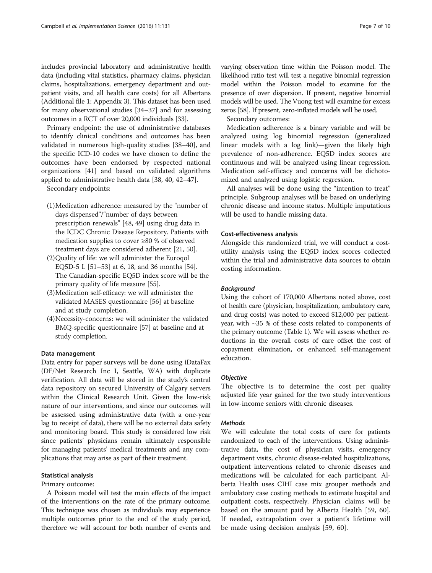includes provincial laboratory and administrative health data (including vital statistics, pharmacy claims, physician claims, hospitalizations, emergency department and outpatient visits, and all health care costs) for all Albertans (Additional file [1](#page-8-0): Appendix 3). This dataset has been used for many observational studies [\[34](#page-9-0)–[37](#page-9-0)] and for assessing outcomes in a RCT of over 20,000 individuals [\[33\]](#page-9-0).

Primary endpoint: the use of administrative databases to identify clinical conditions and outcomes has been validated in numerous high-quality studies [\[38](#page-9-0)–[40\]](#page-9-0), and the specific ICD-10 codes we have chosen to define the outcomes have been endorsed by respected national organizations [\[41](#page-9-0)] and based on validated algorithms applied to administrative health data [[38, 40](#page-9-0), [42](#page-9-0)–[47](#page-9-0)].

Secondary endpoints:

- (1)Medication adherence: measured by the "number of days dispensed"/"number of days between prescription renewals" [[48,](#page-9-0) [49](#page-9-0)] using drug data in the ICDC Chronic Disease Repository. Patients with medication supplies to cover ≥80 % of observed treatment days are considered adherent [\[21,](#page-9-0) [50\]](#page-9-0).
- (2)Quality of life: we will administer the Euroqol EQ5D-5 L [\[51](#page-9-0)–[53](#page-9-0)] at 6, 18, and 36 months [\[54\]](#page-9-0). The Canadian-specific EQ5D index score will be the primary quality of life measure [\[55](#page-9-0)].
- (3)Medication self-efficacy: we will administer the validated MASES questionnaire [[56](#page-9-0)] at baseline and at study completion.
- (4)Necessity-concerns: we will administer the validated BMQ-specific questionnaire [\[57\]](#page-9-0) at baseline and at study completion.

#### Data management

Data entry for paper surveys will be done using iDataFax (DF/Net Research Inc I, Seattle, WA) with duplicate verification. All data will be stored in the study's central data repository on secured University of Calgary servers within the Clinical Research Unit. Given the low-risk nature of our interventions, and since our outcomes will be assessed using administrative data (with a one-year lag to receipt of data), there will be no external data safety and monitoring board. This study is considered low risk since patients' physicians remain ultimately responsible for managing patients' medical treatments and any complications that may arise as part of their treatment.

#### Statistical analysis

#### Primary outcome:

A Poisson model will test the main effects of the impact of the interventions on the rate of the primary outcome. This technique was chosen as individuals may experience multiple outcomes prior to the end of the study period, therefore we will account for both number of events and varying observation time within the Poisson model. The likelihood ratio test will test a negative binomial regression model within the Poisson model to examine for the presence of over dispersion. If present, negative binomial models will be used. The Vuong test will examine for excess zeros [[58](#page-9-0)]. If present, zero-inflated models will be used.

Secondary outcomes:

Medication adherence is a binary variable and will be analyzed using log binomial regression (generalized linear models with a log link)—given the likely high prevalence of non-adherence. EQ5D index scores are continuous and will be analyzed using linear regression. Medication self-efficacy and concerns will be dichotomized and analyzed using logistic regression.

All analyses will be done using the "intention to treat" principle. Subgroup analyses will be based on underlying chronic disease and income status. Multiple imputations will be used to handle missing data.

#### Cost-effectiveness analysis

Alongside this randomized trial, we will conduct a costutility analysis using the EQ5D index scores collected within the trial and administrative data sources to obtain costing information.

## Background

Using the cohort of 170,000 Albertans noted above, cost of health care (physician, hospitalization, ambulatory care, and drug costs) was noted to exceed \$12,000 per patientyear, with ~35 % of these costs related to components of the primary outcome (Table [1](#page-7-0)). We will assess whether reductions in the overall costs of care offset the cost of copayment elimination, or enhanced self-management education.

#### **Objective**

The objective is to determine the cost per quality adjusted life year gained for the two study interventions in low-income seniors with chronic diseases.

# Methods

We will calculate the total costs of care for patients randomized to each of the interventions. Using administrative data, the cost of physician visits, emergency department visits, chronic disease-related hospitalizations, outpatient interventions related to chronic diseases and medications will be calculated for each participant. Alberta Health uses CIHI case mix grouper methods and ambulatory case costing methods to estimate hospital and outpatient costs, respectively. Physician claims will be based on the amount paid by Alberta Health [[59, 60](#page-9-0)]. If needed, extrapolation over a patient's lifetime will be made using decision analysis [\[59](#page-9-0), [60](#page-9-0)].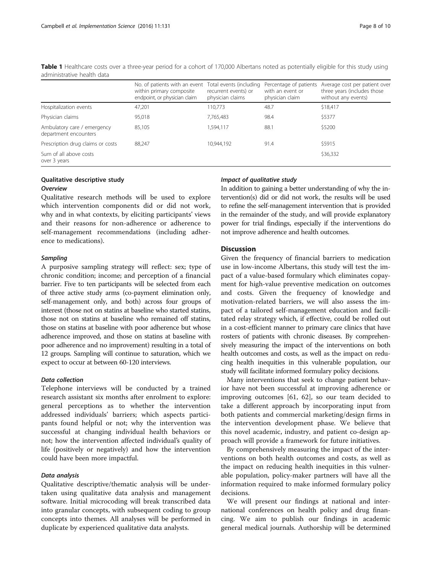|                                                      | No. of patients with an event<br>within primary composite<br>endpoint, or physician claim | Total events (including<br>recurrent events) or<br>physician claims | Percentage of patients<br>with an event or<br>physician claim | Average cost per patient over<br>three years (includes those<br>without any events) |
|------------------------------------------------------|-------------------------------------------------------------------------------------------|---------------------------------------------------------------------|---------------------------------------------------------------|-------------------------------------------------------------------------------------|
| Hospitalization events                               | 47.201                                                                                    | 110.773                                                             | 48.7                                                          | \$18,417                                                                            |
| Physician claims                                     | 95,018                                                                                    | 7,765,483                                                           | 98.4                                                          | \$5377                                                                              |
| Ambulatory care / emergency<br>department encounters | 85,105                                                                                    | 1,594,117                                                           | 88.1                                                          | \$5200                                                                              |
| Prescription drug claims or costs                    | 88.247                                                                                    | 10,944,192                                                          | 91.4                                                          | \$5915                                                                              |
| Sum of all above costs<br>over 3 years               |                                                                                           |                                                                     |                                                               | \$36,332                                                                            |

<span id="page-7-0"></span>Table 1 Healthcare costs over a three-year period for a cohort of 170,000 Albertans noted as potentially eligible for this study using administrative health data

# Qualitative descriptive study

#### **Overview**

Qualitative research methods will be used to explore which intervention components did or did not work, why and in what contexts, by eliciting participants' views and their reasons for non-adherence or adherence to self-management recommendations (including adherence to medications).

#### Sampling

A purposive sampling strategy will reflect: sex; type of chronic condition; income; and perception of a financial barrier. Five to ten participants will be selected from each of three active study arms (co-payment elimination only, self-management only, and both) across four groups of interest (those not on statins at baseline who started statins, those not on statins at baseline who remained off statins, those on statins at baseline with poor adherence but whose adherence improved, and those on statins at baseline with poor adherence and no improvement) resulting in a total of 12 groups. Sampling will continue to saturation, which we expect to occur at between 60-120 interviews.

#### Data collection

Telephone interviews will be conducted by a trained research assistant six months after enrolment to explore: general perceptions as to whether the intervention addressed individuals' barriers; which aspects participants found helpful or not; why the intervention was successful at changing individual health behaviors or not; how the intervention affected individual's quality of life (positively or negatively) and how the intervention could have been more impactful.

#### Data analysis

Qualitative descriptive/thematic analysis will be undertaken using qualitative data analysis and management software. Initial microcoding will break transcribed data into granular concepts, with subsequent coding to group concepts into themes. All analyses will be performed in duplicate by experienced qualitative data analysts.

#### Impact of qualitative study

In addition to gaining a better understanding of why the intervention(s) did or did not work, the results will be used to refine the self-management intervention that is provided in the remainder of the study, and will provide explanatory power for trial findings, especially if the interventions do not improve adherence and health outcomes.

# Discussion

Given the frequency of financial barriers to medication use in low-income Albertans, this study will test the impact of a value-based formulary which eliminates copayment for high-value preventive medication on outcomes and costs. Given the frequency of knowledge and motivation-related barriers, we will also assess the impact of a tailored self-management education and facilitated relay strategy which, if effective, could be rolled out in a cost-efficient manner to primary care clinics that have rosters of patients with chronic diseases. By comprehensively measuring the impact of the interventions on both health outcomes and costs, as well as the impact on reducing health inequities in this vulnerable population, our study will facilitate informed formulary policy decisions.

Many interventions that seek to change patient behavior have not been successful at improving adherence or improving outcomes [\[61, 62\]](#page-9-0), so our team decided to take a different approach by incorporating input from both patients and commercial marketing/design firms in the intervention development phase. We believe that this novel academic, industry, and patient co-design approach will provide a framework for future initiatives.

By comprehensively measuring the impact of the interventions on both health outcomes and costs, as well as the impact on reducing health inequities in this vulnerable population, policy-maker partners will have all the information required to make informed formulary policy decisions.

We will present our findings at national and international conferences on health policy and drug financing. We aim to publish our findings in academic general medical journals. Authorship will be determined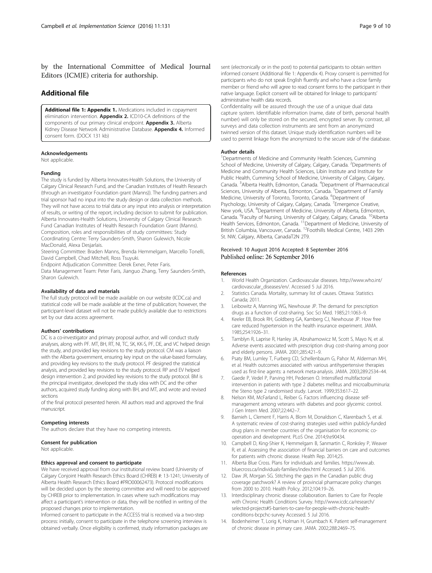<span id="page-8-0"></span>by the International Committee of Medical Journal Editors (ICMJE) criteria for authorship.

#### Additional file

[Additional file 1: Appendix 1.](dx.doi.org/10.1186/s13012-016-0491-6) Medications included in copayment elimination intervention. Appendix 2. ICD10-CA definitions of the components of our primary clinical endpoint. Appendix 3. Alberta Kidney Disease Network Administrative Database. Appendix 4. Informed consent form. (DOCX 131 kb)

#### Acknowledgements

Not applicable.

#### Funding

The study is funded by Alberta Innovates-Health Solutions, the University of Calgary Clinical Research Fund, and the Canadian Institutes of Health Research (through an investigator Foundation grant (Manns)). The funding partners and trial sponsor had no input into the study design or data collection methods. They will not have access to trial data or any input into analysis or interpretation of results, or writing of the report, including decision to submit for publication. Alberta Innovates-Health Solutions, University of Calgary Clinical Research Fund Canadian Institutes of Health Research Foundation Grant (Manns). Composition, roles and responsibilities of study committees: Study Coordinating Centre: Terry Saunders-Smith, Sharon Gulewich, Nicole MacDonald, Alexa Desjarlais.

Steering Committee: Braden Manns, Brenda Hemmelgarn, Marcello Tonelli, David Campbell, Chad Mitchell, Ross Tsuyuki.

Endpoint Adjudication Committee: Derek Exner, Peter Faris.

Data Management Team: Peter Faris, Jianguo Zhang, Terry Saunders-Smith, Sharon Gulewich.

#### Availability of data and materials

The full study protocol will be made available on our website (ICDC.ca) and statistical code will be made available at the time of publication; however, the participant-level dataset will not be made publicly available due to restrictions set by our data access agreement.

#### Authors' contributions

DC is a co-investigator and primary proposal author, and will conduct study analyses, along with PF. MT, BH, RT, NI, TC, SK, KK-S, PF, DE, and VC helped design the study, and provided key revisions to the study protocol. CM was a liaison with the Alberta government, ensuring key input on the value-based formulary, and providing key revisions to the study protocol. PF designed the statistical analysis, and provided key revisions to the study protocol. RP and EV helped design intervention 2, and provided key revisions to the study protocol. BM is the principal investigator, developed the study idea with DC and the other authors, acquired study funding along with BH, and MT, and wrote and revised sections

of the final protocol presented herein. All authors read and approved the final manuscript.

#### Competing interests

The authors declare that they have no competing interests.

#### Consent for publication

Not applicable.

#### Ethics approval and consent to participate

We have received approval from our institutional review board (University of Calgary Conjoint Health Research Ethics Board (CHREB) #: 13-1241; University of Alberta Health Research Ethics Board #PRO00062473). Protocol modifications will be decided upon by the steering committee and will need to be approved by CHREB prior to implementation. In cases where such modifications may affect a participant's intervention or data, they will be notified in writing of the proposed changes prior to implementation.

Informed consent to participate in the ACCESS trial is received via a two-step process: initially, consent to participate in the telephone screening interview is obtained verbally. Once eligibility is confirmed, study information packages are sent (electronically or in the post) to potential participants to obtain written informed consent (Additional file 1: Appendix 4). Proxy consent is permitted for participants who do not speak English fluently and who have a close family member or friend who will agree to read consent forms to the participant in their native language. Explicit consent will be obtained for linkage to participants' administrative health data records.

Confidentiality will be assured through the use of a unique dual data capture system. Identifiable information (name, date of birth, personal health number) will only be stored on the secured, encrypted server. By contrast, all surveys and data collection instruments are sent from an anonymized twinned version of this dataset. Unique study identification numbers will be used to permit linkage from the anonymized to the secure side of the database.

#### Author details

<sup>1</sup>Departments of Medicine and Community Health Sciences, Cumming School of Medicine, University of Calgary, Calgary, Canada. <sup>2</sup>Departments of Medicine and Community Health Sciences, Libin Institute and Institute for Public Health, Cumming School of Medicine, University of Calgary, Calgary, Canada. <sup>3</sup> Alberta Health, Edmonton, Canada. <sup>4</sup> Department of Pharmaceutical Sciences, University of Alberta, Edmonton, Canada. <sup>5</sup>Department of Family Medicine, University of Toronto, Toronto, Canada. <sup>6</sup>Department of Psychology, University of Calgary, Calgary, Canada. <sup>7</sup>Emergence Creative, New york, USA. <sup>8</sup>Department of Medicine, University of Alberta, Edmonton, Canada. <sup>9</sup>Faculty of Nursing, University of Calgary, Calgary, Canada. <sup>10</sup>Alberta Health Services, Edmonton, Canada. <sup>11</sup> Department of Medicine, University of British Columbia, Vancouver, Canada. 12Foothills Medical Centre, 1403 29th St. NW, Calgary, Alberta, CanadaT2N 2T9.

#### Received: 10 August 2016 Accepted: 8 September 2016 Published online: 26 September 2016

#### References

- 1. World Health Organization. Cardiovascular diseases. [http://www.who.int/](http://www.who.int/cardiovascular_diseases/en/) [cardiovascular\\_diseases/en/.](http://www.who.int/cardiovascular_diseases/en/) Accessed 5 Jul 2016.
- 2. Statistics Canada. Mortality, summary list of causes. Ottawa: Statistics Canada; 2011.
- 3. Leibowitz A, Manning WG, Newhouse JP. The demand for prescription drugs as a function of cost-sharing. Soc Sci Med. 1985;21:1063–9.
- 4. Keeler EB, Brook RH, Goldberg GA, Kamberg CJ, Newhouse JP. How free care reduced hypertension in the health insurance experiment. JAMA. 1985;254:1926–31.
- 5. Tamblyn R, Laprise R, Hanley JA, Abrahamowicz M, Scott S, Mayo N, et al. Adverse events associated with prescription drug cost-sharing among poor and elderly persons. JAMA. 2001;285:421–9.
- Psaty BM, Lumley T, Furberg CD, Schellenbaum G, Pahor M, Alderman MH, et al. Health outcomes associated with various antihypertensive therapies used as first-line agents: a network meta-analysis. JAMA. 2003;289:2534–44.
- Gaede P, Vedel P, Parving HH, Pedersen O. Intensified multifactorial intervention in patients with type 2 diabetes mellitus and microalbuminuria: the Steno type 2 randomised study. Lancet. 1999;353:617–22.
- 8. Nelson KM, McFarland L, Reiber G. Factors influencing disease selfmanagement among veterans with diabetes and poor glycemic control. J Gen Intern Med. 2007;22:442–7.
- 9. Barnieh L, Clement F, Harris A, Blom M, Donaldson C, Klarenbach S, et al. A systematic review of cost-sharing strategies used within publicly-funded drug plans in member countries of the organisation for economic cooperation and development. PLoS One. 2014;9:e90434.
- 10. Campbell D, King-Shier K, Hemmelgarn B, Sanmartin C, Ronksley P, Weaver R, et al. Assessing the association of financial barriers on care and outcomes for patients with chronic disease. Health Rep. 2014;25.
- 11. Alberta Blue Cross. Plans for individuals and families. [https://www.ab.](https://www.ab.bluecross.ca/individuals-families/index.html) [bluecross.ca/individuals-families/index.html](https://www.ab.bluecross.ca/individuals-families/index.html) Accessed. 5 Jul 2016.
- 12. Daw JR, Morgan SG. Stitching the gaps in the Canadian public drug coverage patchwork? A review of provincial pharmacare policy changes from 2000 to 2010. Health Policy. 2012;104:19–26.
- 13. Interdisciplinary chronic disease collaboration. Barriers to Care for People with Chronic Health Conditions Survey. [http://www.icdc.ca/research/](http://www.icdc.ca/research/selected-projects#5-barriers-to-care-for-people-with-chronic-health-conditions-bcpchc-survey) [selected-projects#5-barriers-to-care-for-people-with-chronic-health](http://www.icdc.ca/research/selected-projects#5-barriers-to-care-for-people-with-chronic-health-conditions-bcpchc-survey)[conditions-bcpchc-survey](http://www.icdc.ca/research/selected-projects#5-barriers-to-care-for-people-with-chronic-health-conditions-bcpchc-survey) Accessed. 5 Jul 2016.
- 14. Bodenheimer T, Lorig K, Holman H, Grumbach K. Patient self-management of chronic disease in primary care. JAMA. 2002;288:2469–75.